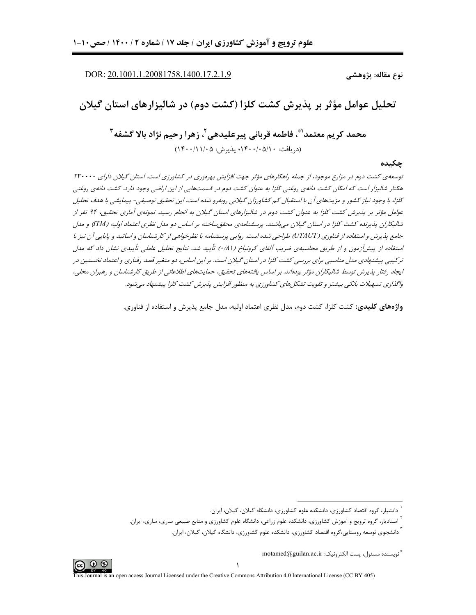DOR: 20.1001.1.20081758.1400.17.2.1.9

نوع مقاله: پژوهشي

تحلیل عوامل مؤثر بر پذیرش کشت کلزا (کشت دوم) در شالیزارهای استان گیلان

محمد كريم معتمد"ٌ، فاطمه قرباني پيرعليدهي ّ، زهرا رحيم نژاد بالا گشفه ّ  $(15 \cdot 111 \cdot 0 \cdot 0.24 \cdot 15 \cdot 16 \cdot 16)$  (دریافت: ۱۴۰۰/۰۵/۱۰

#### چکىدە

توسعهی کشت دوم در مزارع موجود، از جمله راهکارهای مؤثر جهت افزایش بهرهوری در کشاورزی است. استان گیلان دارای ۲۳۰۰۰۰ هکتار شالیزار است که امکان کشت دانهی روغنی کلزا به عنوان کشت دوم در قسمتهایی از این اراضی وجود دارد. کشت دانهی روغنی كلزا، با وجود نیاز كشور و مزیتهای آن با استقبال كم كشاورزان گیلانی روبه رو شده است. این تحقیق توصیفی- پیمایشی با هدف تحلیل عوامل مؤثر بر پذیرش کشت کلزا به عنوان کشت دوم در شالیزارهای استان گیلان به انجام رسید. نمونهی آماری تحقیق، ۹۴ نفر از شالیکاران پذیرنده کشت کلزا در استان گیلان میباشند. پرسشنامهی محقق ساخته بر اساس دو مدل نظری اعتماد اولیه (ITM) و مدل جامع پذیرش و استفاده از فناوری (UTAUT) طراحی شده است. روایی پرسشنامه با نظرخواهی از کارشناسان و اساتید و پایایی آن نیز با استفاده از پیش[زمون و از طریق محاسبهی ضریب آلفای کرونباخ (۸۱/۰) تأیید شد. نتایج تحلیل عاملی تأییدی نشان داد که مدل ترکیبی پیشنهادی مدل مناسبی برای بررسی کشت کلزا در استان گیلان است. بر این اساس، دو متغیر قصد رفتاری و اعتماد نخستین در ايجاد رفتار پذيرش توسط شاليكاران مؤثر بودهاند. بر اساس يافتههاي تحقيق، حمايتهاي اطلاعاتي از طريق كارشناسان و رهبران محلي، واگذاری تسهیلات بانکی بیشتر و تقویت تشکلهای کشاورزی به منظور افزایش پذیرش کشت کلزا پیشنهاد می شود.

**واژههای کلیدی**: کشت کلزا، کشت دوم، مدل نظری اعتماد اولیه، مدل جامع پذیرش و استفاده از فناوری.



<sup>.&</sup>lt;br>دانشیار، گروه اقتصاد کشاورزی، دانشکده علوم کشاورزی، دانشگاه گیلان، گیلان، ایران.

<sup>ّ</sup> استادیار، گروه ترویج و آموزش کشاورزی، دانشکده علوم زراعی، دانشگاه علوم کشاورزی و منابع طبیعی ساری، ساری، ایران.

<sup>ٔ</sup> دانشجوی توسعه روستایی،گروه اقتصاد کشاورزی، دانشکده علوم کشاورزی، دانشگاه گیلان، گیلان، ایران.

<sup>&</sup>quot; نويسنده مسئول، يست الكترونيك: motamed@guilan.ac.ir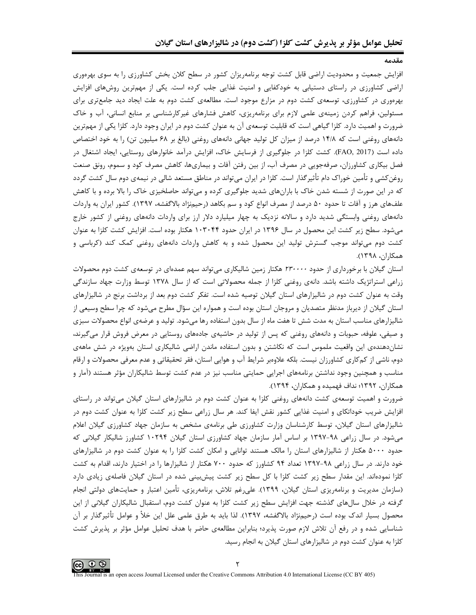افزایش جمعیت و محدودیت اراضی قابل کشت توجه برنامهریزان کشور در سطح کلان بخش کشاورزی را به سوی بهرهوری اراضی کشاورزی در راستای دستیابی به خودکفایی و امنیت غذایی جلب کرده است. یکی از مهمترین روشهای افزایش بهرهوری در کشاورزی، توسعهی کشت دوم در مزارع موجود است. مطالعهی کشت دوم به علت ایجاد دید جامعتری برای مسئولین، فراهم کردن زمینهی علمی لازم برای برنامهریزی، کاهش فشارهای غیرکارشناسی بر منابع انسانی، آب و خاک ضرورت و اهمیت دارد. کلزا گیاهی است که قابلیت توسعهی آن به عنوان کشت دوم در ایران وجود دارد. کلزا یکی از مهمترین دانههای روغنی است که ۱۴/۸ درصد از میزان کل تولید جهانی دانههای روغنی (بالغ بر ۶۸ میلیون تن) را به خود اختصاص داده است (FAO, 2017). کشت کلزا در جلوگیری از فرسایش خاک، افزایش درآمد خانوارهای روستایی، ایجاد اشتغال در فصل بیکاری کشاورزان، صرفهجویی در مصرف آب، از بین رفتن آفات و بیماریها، کاهش مصرف کود و سموم، رونق صنعت روغن کشی و تأمین خوراک دام تأثیرگذار است. کلزا در ایران میتواند در مناطق مستعد شالی در نیمهی دوم سال کشت گردد که در این صورت از شسته شدن خاک با بارانهای شدید جلوگیری کرده و میتواند حاصلخیزی خاک را بالا برده و با کاهش علفهای هرز و آفات تا حدود ۵۰ درصد از مصرف انواع کود و سم بکاهد (رحیمنژاد بالاگفشه، ۱۳۹۷). کشور ایران به واردات دانههای روغنی وابستگی شدید دارد و سالانه نزدیک به چهار میلیارد دلار ارز برای واردات دانههای روغنی از کشور خارج میشود. سطح زیر کشت این محصول در سال ۱۳۹۶ در ایران حدود ۱۰۳۰۴۴ هکتار بوده است. افزایش کشت کلزا به عنوان کشت دوم می تواند موجب گسترش تولید این محصول شده و به کاهش واردات دانههای روغنی کمک کند (کرباسی و همكاران، ١٣٩٨).

استان گیلان با برخورداری از حدود ۲۳۰۰۰۰ هکتار زمین شالیکاری میتواند سهم عمدهای در توسعهی کشت دوم محصولات زراعی استراتژیک داشته باشد. دانهی روغنی کلزا از جمله محصولاتی است که از سال ۱۳۷۸ توسط وزارت جهاد سازندگی وقت به عنوان کشت دوم در شالیزارهای استان گیلان توصیه شده است. تفکر کشت دوم بعد از برداشت برنج در شالیزارهای استان گیلان از دیرباز مدنظر متصدیان و مروجان استان بوده است و همواره این سؤال مطرح می شود که چرا سطح وسیعی از شالیزارهای مناسب استان به مدت شش تا هفت ماه از سال بدون استفاده رها می شود. تولید و عرضهی انواع محصولات سبزی و صیفی، علوفه، حبوبات و دانههای روغنی که پس از تولید در حاشیهی جادههای روستایی در معرض فروش قرار میگیرند، نشاندهندهی این واقعیت ملموس است که نکاشتن و بدون استفاده ماندن اراضی شالیکاری استان بهویژه در شش ماههی دوم، ناشی از کمکاری کشاورزان نیست. بلکه علاوهبر شرایط آب و هوایی استان، فقر تحقیقاتی و عدم معرفی محصولات و ارقام مناسب و همچنین وجود نداشتن برنامههای اجرایی حمایتی مناسب نیز در عدم کشت توسط شالیکاران مؤثر هستند (آمار و همکاران، ۱۳۹۲؛ نداف فهمیده و همکاران، ۱۳۹۴).

ضرورت و اهمیت توسعهی کشت دانههای روغنی کلزا به عنوان کشت دوم در شالیزارهای استان گیلان می تواند در راستای افزایش ضریب خوداتکای و امنیت غذایی کشور نقش ایفا کند. هر سال زراعی سطح زیر کشت کلزا به عنوان کشت دوم در شالیزارهای استان گیلان، توسط کارشناسان وزارت کشاورزی طی برنامهی مشخص به سازمان جهاد کشاورزی گیلان اعلام میشود. در سال زراعی ۹۸-۱۳۹۷ بر اساس آمار سازمان جهاد کشاورزی استان گیلان ۱۰۲۹۴ کشاورز شالیکار گیلانی که حدود ۵۰۰۰ هکتار از شالیزارهای استان را مالک هستند توانایی و امکان کشت کلزا را به عنوان کشت دوم در شالیزارهای خود دارند. در سال زراعی ۹۸-۱۳۹۷ تعداد ۹۴ کشاورز که حدود ۷۰۰ هکتار از شالیزارها را در اختیار دارند، اقدام به کشت کلزا نمودهاند. این مقدار سطح زیر کشت کلزا با کل سطح زیر کشت پیشبینی شده در استان گیلان فاصلهی زیادی دارد (سازمان مدیریت و برنامهریزی استان گیلان، ۱۳۹۹). علی، غم تلاش، برنامهریزی، تأمین اعتبار و حمایتهای دولتی انجام گرفته در خلال سالهای گذشته جهت افزایش سطح زیر کشت کلزا به عنوان کشت دوم، استقبال شالیکاران گیلانی از این محصول بسیار اندک بوده است (رحیم;ژاد بالاگفشه، ۱۳۹۷). لذا باید به طرق علمی علل این خلأ و عوامل تأثیرگذار بر آن شناسایی شده و در رفع آن تلاش لازم صورت پذیرد؛ بنابراین مطالعهی حاضر با هدف تحلیل عوامل مؤثر بر پذیرش کشت کلزا به عنوان کشت دوم در شالیزارهای استان گیلان به انجام رسید.

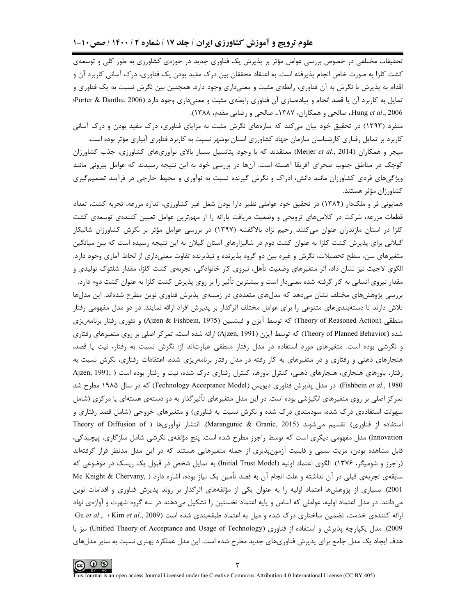تحقیقات مختلفی در خصوص بررسی عوامل مؤثر بر پذیرش یک فناوری جدید در حوزهی کشاورزی به طور کلی و توسعهی کشت کلزا به صورت خاص انجام پذیرفته است. به اعتقاد محققان بین درک مفید بودن یک فناوری، درک آسانی کاربرد آن و اقدام به پذیرش با نگرش به آن فناوری، رابطهی مثبت و معنیداری وجود دارد. همچنین بین نگرش نسبت به یک فناوری و تمایل به کاربرد آن یا قصد انجام و پیادهسازی آن فناوری رابطهی مثبت و معنیداری وجود دارد (Porter & Danthu, 2006؛ Hung et al., 2006.، صالحي و همكاران، ١٣٨٧.، صالحي و رضايي مقدم، ١٣٨٨).

منفرد (۱۳۹۳) در تحقیق خود بیان می کند که سازههای نگرش مثبت به مزایای فناوری، درک مفید بودن و درک آسانی کاربرد بر تمایل رفتاری کارشناسان سازمان جهاد کشاورزی استان بوشهر نسبت به کاربرد فناوری آبیاری مؤثر بوده است.

میجر و همکاران (Meijer *et al.*, 2014) معتقدند که با وجود پتانسیل بسیار بالای نوآوریهای کشاورزی، جذب کشاورزان کوچک در مناطق جنوب صحرای آفریقا آهسته است. آنها در بررسی خود به این نتیجه رسیدند که عوامل بیرونی مانند ویژگیهای فردی کشاورزان مانند دانش، ادراک و نگرش گیرنده نسبت به نوآوری و محیط خارجی در فرآیند تصمیمگیری كشاورزان مؤثر هستند.

همایونی فر و ملکدار (۱۳۸۴) در تحقیق خود عواملی نظیر دارا بودن شغل غیر کشاورزی، اندازه مزرعه، تجربه کشت، تعداد قطعات مزرعه، شرکت در کلاسهای ترویجی و وضعیت دریافت یارانه را از مهمترین عوامل تعیین کنندهی توسعهی کشت کلزا در استان مازندران عنوان میکنند. رحیم نژاد بالاگفشه (۱۳۹۷) در بررسی عوامل مؤثر بر نگرش کشاورزان شالیکار گیلانی برای پذیرش کشت کلزا به عنوان کشت دوم در شالیزارهای استان گیلان به این نتیجه رسیده است که بین میانگین متغیرهای سن، سطح تحصیلات، نگرش و غیره بین دو گروه پذیرنده و نپذیرنده تفاوت معنیداری از لحاظ آماری وجود دارد. الگوی لاجیت نیز نشان داد، اثر متغیرهای وضعیت تأهل، نیروی کار خانوادگی، تجربهی کشت کلزا، مقدار شلتوک تولیدی و مقدار نیروی انسانی به کار گرفته شده معنیدار است و بیشترین تأثیر را بر روی پذیرش کشت کلزا به عنوان کشت دوم دارد. بررسی پژوهشهای مختلف نشان میدهد که مدلهای متعددی در زمینهی پذیرش فناوری نوین مطرح شدهاند. این مدلها تلاش دارند تا دستهبندیهای متنوعی را برای عوامل مختلف اثرگذار بر پذیرش افراد ارائه نمایند. در دو مدل مفهومی رفتار منطقي (Theory of Reasoned Action) كه توسط آيزن و فيشبين (Ajzen & Fishbein, 1975) و تئوري رفتار برنامهريزي شده (Theory of Planned Behavior) که توسط آیزن (Ajzen, 1991) ارائه شده است، تمرکز اصلی بر روی متغیرهای رفتاری و نگرشی بوده است. متغیرهای مورد استفاده در مدل رفتار منطقی عبارتاند از: نگرش نسبت به رفتار، نیت یا قصد، هنجارهای ذهنی و رفتاری و در متغیرهای به کار رفته در مدل رفتار برنامهریزی شده، اعتقادات رفتاری، نگرش نسبت به رفتار، باورهای هنجاری، هنجارهای ذهنی، کنترل باورها، کنترل رفتاری درک شده، نیت و رفتار بوده است ( Ajzen, 1991; Fishbein et al., 1980). در مدل پذیرش فناوری دیویس (Technology Acceptance Model) که در سال ۱۹۸۵ مطرح شد تمرکز اصلی بر روی متغیرهای انگیزشی بوده است. در این مدل متغیرهای تأثیرگذار به دو دستهی هستهای یا مرکزی (شامل سهولت استفادهی درک شده، سودمندی درک شده و نگرش نسبت به فناوری) و متغیرهای خروجی (شامل قصد رفتاری و استفاده از فناوري) تقسيم مي شوند (Marangunic & Granic, 2015). انتشار نوآوريها ( Theory of Diffusion of Innovation) مدل مفهومی دیگری است که توسط راجرز مطرح شده است. پنج مؤلفهی نگرشی شامل سازگاری، پیچیدگی، قابل مشاهده بودن، مزیت نسبی و قابلیت آزمونپذیری از جمله متغیرهایی هستند که در این مدل مدنظر قرار گرفتهاند (راجرز و شومیگر، ۱۳۷۶). الگوی اعتماد اولیه (Initial Trust Model) به تمایل شخص در قبول یک ریسک در موضوعی که سابقهی تجربهی قبلی در آن نداشته و علت انجام آن به قصد تأمین یک نیاز بوده، اشاره دارد ( Mc Knight & Chervany, ) 2001). بسیاری از پژوهشها اعتماد اولیه را به عنوان یکی از مؤلفههای اثرگذار بر روند پذیرش فناوری و اقدامات نوین میدانند. در مدل اعتماد اولیه، عواملی که اساس و پایه اعتماد نخستین را تشکیل میدهند در سه گروه شهرت و آوازهی نهاد ارائه كنندهى خدمت، تضمين ساختارى درك شده و ميل به اعتماد طبقهبندى شده است (3009 ,Kim et al., 2009 Gu et al 2009). مدل یکپارچه پذیرش و استفاده از فناوری (Unified Theory of Acceptance and Usage of Technology) نیز با هدف ایجاد یک مدل جامع برای پذیرش فناوریهای جدید مطرح شده است. این مدل عملکرد بهتری نسبت به سایر مدلهای

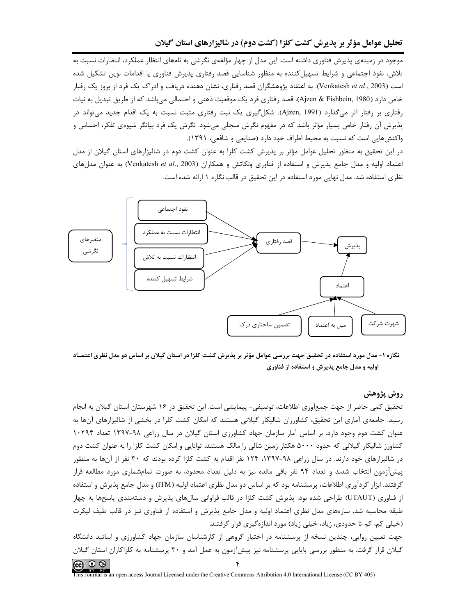موجود در زمینهی پذیرش فناوری داشته است. این مدل از چهار مؤلفهی نگرشی به نامهای انتظار عملکرد، انتظارات نسبت به تلاش، نفوذ اجتماعی و شرایط تسهیل کننده به منظور شناسایی قصد رفتاری پذیرش فناوری یا اقدامات نوین تشکیل شده است (Venkatesh *et al.*, 2003). به اعتقاد پژوهشگران قصد رفتاری، نشان دهنده دریافت و ادراک یک فرد از بروز یک رفتار خاص دارد (Ajzen & Fishbein, 1980). قصد رفتاري فرد يک موقعيت ذهني و احتمالي مي،باشد که از طريق تبديل به نيات رفتاری بر رفتار اثر میگذارد (Ajzen, 1991). شکلگیری یک نیت رفتاری مثبت نسبت به یک اقدام جدید میتواند در پذیرش آن رفتار خاص بسیار مؤثر باشد که در مفهوم نگرش متجلی میشود. نگرش یک فرد بیانگر شیوهی تفکر، احساس و واکنشهایی است که نسبت به محیط اطراف خود دارد (صنایعی و شافعی، ۱۳۹۱).

در این تحقیق به منظور تحلیل عوامل مؤثر بر پذیرش کشت کلزا به عنوان کشت دوم در شالیزارهای استان گیلان از مدل اعتماد اولیه و مدل جامع پذیرش و استفاده از فناوری ونکاتش و همکاران (Venkatesh et al., 2003) به عنوان مدلهای نظری استفاده شد. مدل نهایی مورد استفاده در این تحقیق در قالب نگاره ۱ ارائه شده است.



نگاره ۱- مدل مورد استفاده در تحقیق جهت بررسی عوامل مؤثر بر پذیرش کشت کلزا در استان گیلان بر اساس دو مدل نظری اعتمـاد اولیه و مدل جامع پذیرش و استفاده از فناوری

## روش پژوهش

تحقیق کمی حاضر از جهت جمعآوری اطلاعات، توصیفی- پیمایشی است. این تحقیق در ۱۶ شهرستان استان گیلان به انجام رسید. جامعهی آماری این تحقیق، کشاورزان شالیکار گیلانی هستند که امکان کشت کلزا در بخشی از شالیزارهای آنها به عنوان کشت دوم وجود دارد. بر اساس آمار سازمان جهاد کشاورزی استان گیلان در سال زراعی ۹۸-۱۳۹۷ تعداد ۱۰۲۹۴ کشاورز شالیکار گیلانی که حدود ۵۰۰۰ هکتار زمین شالی را مالک هستند، توانایی و امکان کشت کلزا را به عنوان کشت دوم در شالیزارهای خود دارند. در سال زراعی ۹۸-۱۳۹۷، ۱۲۴ نفر اقدام به کشت کلزا کرده بودند که ۳۰ نفر از آنها به منظور پیشآزمون انتخاب شدند و تعداد ۹۴ نفر باقی مانده نیز به دلیل تعداد محدود، به صورت تمامشماری مورد مطالعه قرار گرفتند. ابزار گردآوری اطلاعات، پرسشنامه بود که بر اساس دو مدل نظری اعتماد اولیه (ITM) و مدل جامع پذیرش و استفاده از فناوری (UTAUT) طراحی شده بود. پذیرش کشت کلزا در قالب فراوانی سالهای پذیرش و دستهبندی پاسخها به چهار طبقه محاسبه شد. سازههای مدل نظری اعتماد اولیه و مدل جامع پذیرش و استفاده از فناوری نیز در قالب طیف لیکرت (خیلی کم، کم تا حدودی، زیاد، خیلی زیاد) مورد اندازهگیری قرار گرفتند.

جهت تعیین روایی، چندین نسخه از پرسشنامه در اختیار گروهی از کارشناسان سازمان جهاد کشاورزی و اساتید دانشگاه گیلان قرار گرفت. به منظور بررسی پایایی پرسشنامه نیز پیشآزمون به عمل آمد و ۳۰ پرسشنامه به کلزاکاران استان گیلان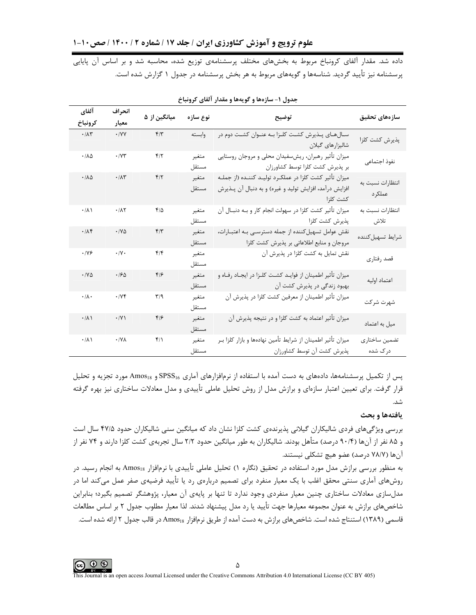داده شد. مقدار آلفای کرونباخ مربوط به بخشهای مختلف پرسشنامهی توزیع شده، محاسبه شد و بر اساس آن پایایی پرسشنامه نیز تأیید گردید. شناسهها و گویههای مربوط به هر بخش پرسشنامه در جدول ۱ گزارش شده است.

| آلفاي                        | انحراف                       | میانگین از ۵            | نوع سازه       | توضيح                                                                                                                            | سازەهاى تحقيق              |
|------------------------------|------------------------------|-------------------------|----------------|----------------------------------------------------------------------------------------------------------------------------------|----------------------------|
| كرونباخ                      | معيار                        |                         |                |                                                                                                                                  |                            |
| $\cdot$ /<br>A٣              | $\cdot$ /YY                  | $F/\tau$                | وابسته         | سـالهـای پـذیرش کشـت کلـزا بـه عنـوان کشـت دوم در<br>شاليزارهاى گيلان                                                            | پذیرش کشت کلزا             |
| $\cdot/\lambda\Delta$        | .1YY                         | $f/\tau$                | متغير<br>مستقل | میزان تأثیر رهبران، ریشسفیدان محلی و مروجان روستایی<br>بر پذیرش کشت کلزا توسط کشاورزان                                           | نفوذ اجتماعى               |
| $\cdot/\lambda\Delta$        | $\cdot/\Lambda\mathsf{r}$    | $f/\tau$                | متغير<br>مستقل | میزان تأثیر کشت کلزا در عملکـرد تولیـد کننــده (از جملــه<br>افزایش درآمد، افزایش تولید و غیره) و به دنبال آن پـذیرش<br>كشت كلزا | انتظارات نسبت به<br>عملكرد |
| $\cdot/\lambda$              | $\cdot$ /<br>A $\!\!$ $\!\!$ | $f/\Delta$              | متغير<br>مستقل | میزان تأثیر کشت کلزا در سهولت انجام کار و بــه دنبــال آن<br>پذیرش کشت کلزا                                                      | انتظارات نسبت به<br>تلاش   |
| .11                          | $\cdot$ /YA                  | $f/\tau$                | متغير<br>مستقل | نقش عوامل تسهیل کننده از جمله دسترسـی بـه اعتبـارات،<br>مروجان و منابع اطلاعاتی بر پذیرش کشت کلزا                                | شرايط تسهيل كننده          |
| .199                         | $\cdot/\gamma$ .             | $f/\mathfrak{f}$        | متغير<br>مستقل | نقش تمایل به کشت کلزا در پذیرش آن                                                                                                | قصد رفتاري                 |
| $\cdot$ / $\vee$ $\triangle$ | .190                         | $f/\mathcal{F}$         | متغير<br>مستقل | میزان تأثیر اطمینان از فوایـد کشـت کلـزا در ایجـاد رفـاه و<br>بهبود زندگی در پذیرش کشت آن                                        | اعتماد اوليه               |
| $\cdot/\lambda$ .            | .74                          | $\mathbf{r}/\mathbf{q}$ | متغير<br>مستقل | میزان تأثیر اطمینان از معرفین کشت کلزا در پذیرش آن                                                                               | شهرت شركت                  |
| $\cdot/\lambda$              | $\cdot$ /Y)                  | $f/\mathcal{F}$         | متغير<br>مستقل | میزان تأثیر اعتماد به کشت کلزا و در نتیجه پذیرش آن                                                                               | میل به اعتماد              |
| $\cdot/\lambda$              | $\cdot$ /Y $\wedge$          | $f/\lambda$             | متغير<br>مستقل | میزان تأثیر اطمینان از شرایط تأمین نهادهها و بازار کلزا بـر<br>پذیرش کشت آن توسط کشاورزان                                        | تضمين ساختاري<br>درک شده   |

جدول ۱- سازهها و گویهها و مقدار آلفای کرونباخ

یس از تکمیل پرسشنامهها، دادههای به دست آمده با استفاده از نرمافزارهای آماری SPSS16 و Amos18 مورد تجزیه و تحلیل قرار گرفت. برای تعیین اعتبار سازهای و برازش مدل از روش تحلیل عاملی تأییدی و مدل معادلات ساختاری نیز بهره گرفته شد.

## بافتهها و بحث

بررسی ویژگیهای فردی شالیکاران گیلانی پذیرندهی کشت کلزا نشان داد که میانگین سنی شالیکاران حدود ۴۷/۵ سال است و ۸۵ نفر از آنها (۹۰/۴ درصد) متأهل بودند. شالیکاران به طور میانگین حدود ۲/۲ سال تجربهی کشت کلزا دارند و ۷۴ نفر از آنها (٧٨/٧ درصد) عضو هيچ تشكلي نيستند.

به منظور بررسی برازش مدل مورد استفاده در تحقیق (نگاره ۱) تحلیل عاملی تأییدی با نرمافزار Amos<sub>18</sub> به انجام رسید. در روشهای آماری سنتی محقق اغلب با یک معیار منفرد برای تصمیم دربارهی رد یا تأیید فرضیهی صفر عمل میکند اما در مدلسازی معادلات ساختاری چنین معیار منفردی وجود ندارد تا تنها بر پایهی آن معیار، پژوهشگر تصمیم بگیرد؛ بنابراین شاخصهای برازش به عنوان مجموعه معیارها جهت تأیید یا رد مدل پیشنهاد شدند. لذا معیار مطلوب جدول ۲ بر اساس مطالعات قاسمی (۱۳۸۹) استنتاج شده است. شاخصهای برازش به دست آمده از طریق نرمافزار Amos<sub>18</sub> در قالب جدول ۲ ارائه شده است.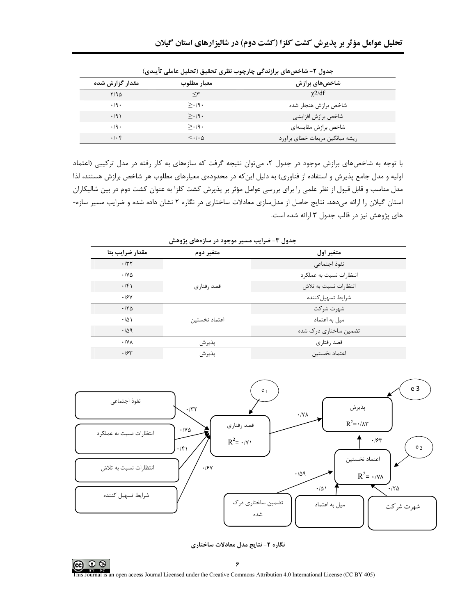| ى … ت              | .<br>້                         | ت ټ.ر د پی پ<br>---             |
|--------------------|--------------------------------|---------------------------------|
| مقدار گزارش شده    | معيار مطلوب                    | شاخصهای برازش                   |
| Y/90               | $\prec$ ۳                      | $\chi$ 2/df                     |
| $\cdot$ /9 $\cdot$ | $>\cdot$ /9.                   | شاخص برازش هنجار شده            |
| $\cdot$ /9)        | $> \cdot 9.$                   | شاخص برازش افزايشي              |
| $\cdot$ /9 $\cdot$ | $>\cdot$ /9.                   | شاخص برازش مقايسهاى             |
| $.  . \rangle$     | $\langle \cdot   \cdot \Delta$ | ریشه میانگین مربعات خطای برآورد |

جدول ٢- شاخصهاي برازندگي چارچوب نظري تحقيق (تحليل عاملي تأسدي)

با توجه به شاخصهای برازش موجود در جدول ۲، میتوان نتیجه گرفت که سازمهای به کار رفته در مدل ترکیبی (اعتماد اولیه و مدل جامع پذیرش و استفاده از فناوری) به دلیل این که در محدودهی معیارهای مطلوب هر شاخص برازش هستند، لذا مدل مناسب و قابل قبول از نظر علمی را برای بررسی عوامل مؤثر بر پذیرش کشت کلزا به عنوان کشت دوم در بین شالیکاران استان گیلان را ارائه میدهد. نتایج حاصل از مدلسازی معادلات ساختاری در نگاره ۲ نشان داده شده و ضرایب مسیر سازه-های پژوهش نیز در قالب جدول ۳ ارائه شده است.

| مقدار ضرايب بتا              | متغير دوم     | متغير اول               |
|------------------------------|---------------|-------------------------|
| .77                          |               | نفوذ اجتماعي            |
| $\cdot$ / $\vee$ $\triangle$ |               | انتظارات نسبت به عملکرد |
| $\cdot$ /۴)                  | قصد ,فتا, ی   | انتظارات نسبت به تلاش   |
| .19Y                         |               | شرايط تسهيل كننده       |
| .170                         |               | شهرت شركت               |
| $\cdot/\Delta$               | اعتماد نخستين | میل به اعتماد           |
| .409                         |               | تضمین ساختاری درک شده   |
| $\cdot$ /Y $\wedge$          | پذير ش        | قصد رفتاري              |
| .184                         | پذيرش         | اعتماد نخستين           |

جدول ۳- ضرایب مسیر موجود در سازههای پژوهش



نگاره ۲- نتایج مدل معادلات ساختاری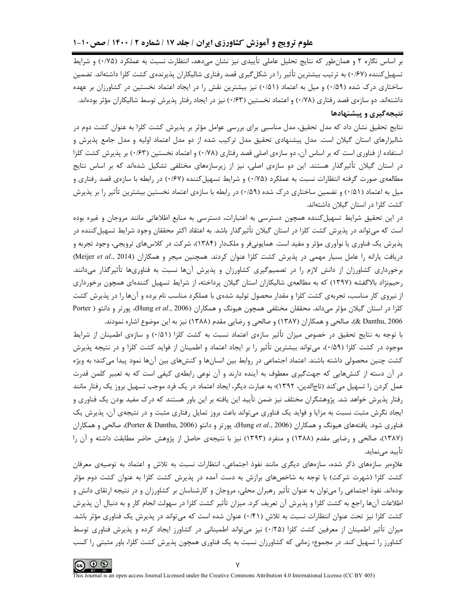بر اساس نگاره ۲ و همانطور که نتایج تحلیل عاملی تأییدی نیز نشان میدهد، انتظارت نسبت به عملکرد (۰/۷۵) و شرایط تسهیل کننده (۱/۶۷) به ترتیب بیشترین تأثیر را در شکل گیری قصد رفتاری شالیکاران پذیرندهی کشت کلزا داشتهاند. تضمین ساختاری درک شده (۰/۵۹) و میل به اعتماد (۰/۵۱) نیز بیشترین نقش را در ایجاد اعتماد نخستین در کشاورزان بر عهده داشتهاند. دو سازەي قصد رفتاري (۰/۷۸) و اعتماد نخستين (۰/۶۳) نيز در ايجاد رفتار پذيرش توسط شاليكاران مؤثر بودهاند. نتیجهگیری و پیشنهادها

نتايج تحقيق نشان داد كه مدل تحقيق، مدل مناسبي براي بررسي عوامل مؤثر بر پذيرش كشت كلزا به عنوان كشت دوم در شالیزارهای استان گیلان است. مدل پیشنهادی تحقیق مدل ترکیب شده از دو مدل اعتماد اولیه و مدل جامع پذیرش و استفاده از فناوری است که بر اساس آن، دو سازهی اصلی قصد رفتاری (۰/۷۸) و اعتماد نخستین (۰/۶۳) بر پذیرش کشت کلزا در استان گیلان تأثیرگذار هستند. این دو سازهی اصلی، نیز از زیرسازههای مختلفی تشکیل شدهاند که بر اساس نتایج مطالعهی صورت گرفته انتظارات نسبت به عملکرد (۰/۷۵) و شرایط تسهیل کننده (۰/۶۷) در رابطه با سازهی قصد رفتاری و میل به اعتماد (۰/۵۱) و تضمین ساختاری درک شده (۰/۵۹) در رابطه با سازهی اعتماد نخستین بیشترین تأثیر را بر پذیرش كشت كلزا در استان گیلان داشتهاند.

در این تحقیق شرایط تسهیلکننده همچون دسترسی به اعتبارات، دسترسی به منابع اطلاعاتی مانند مروجان و غیره بوده است که می¤واند در پذیرش کشت کلزا در استان گیلان تأثیرگذار باشد. به اعتقاد اکثر محققان وجود شرایط تسهیلکننده در پذیرش یک فناوری یا نوآوری مؤثر و مفید است. همایونیفر و ملکدار (۱۳۸۴)، شرکت در کلاسهای ترویجی، وجود تجربه و دریافت یارانه را عامل بسیار مهمی در پذیرش کشت کلزا عنوان کردند. همچنین میجر و همکاران (Meijer et al., 2014) برخورداری کشاورزان از دانش لازم را در تصمیمگیری کشاورزان و پذیرش آنها نسبت به فناوریها تأثیرگذار میدانند. رحیمنژاد بالاگفشه (۱۳۹۷) که به مطالعهی شالیکاران استان گیلان پرداخته، از شرایط تسهیل کنندهای همچون برخورداری از نیروی کار مناسب، تجربهی کشت کلزا و مقدار محصول تولید شدهی با عملکرد مناسب نام برده و آنها را در پذیرش کشت كلزا در استان گیلان مؤثر میداند. محققان مختلفی همچون هیونگ و همكاران (Hung et al., 2006)، پورتر و دانتو ( Porter 2006 .Eanthu)، صالحي و همكاران (١٣٨٧) و صالحي و رضايي مقدم (١٣٨٨) نيز به اين موضوع اشاره نمودند.

با توجه به نتایج تحقیق در خصوص میزان تأثیر سازهی اعتماد نسبت به کشت کلزا (۵۱٪) و سازهی اطمینان از شرایط موجود در کشت کلزا (۵۹/۰)، می تواند بیشترین تأثیر را بر ایجاد اعتماد و اطمینان از فواید کشت کلزا و در نتیجه پذیرش کشت چنین محصولی داشته باشند. اعتماد اجتماعی در روابط بین انسانها و کنشهای بین آنها نمود پیدا میکند؛ به ویژه در آن دسته از کنشهایی که جهتگیری معطوف به آینده دارند و آن نوعی رابطهی کیفی است که به تعبیر کلمن قدرت عمل کردن را تسهیل می کند (تاجالدین، ۱۳۹۲)؛ به عبارت دیگر، ایجاد اعتماد در یک فرد موجب تسهیل بروز یک رفتار مانند رفتار پذیرش خواهد شد. پژوهشگران مختلف نیز ضمن تأیید این یافته بر این باور هستند که درک مفید بودن یک فناوری و ایجاد نگرش مثبت نسبت به مزایا و فواید یک فناوری میتواند باعث بروز تمایل رفتاری مثبت و در نتیجهی آن، پذیرش یک فناوري شود. يافتههاي هيونگ و همكاران (Hung et al., 2006)، پورتر و دانتو (Porter & Danthu, 2006)، صالحي و همكاران (۱۳۸۷)، صالحی و رضایی مقدم (۱۳۸۸) و منفرد (۱۳۹۳) نیز با نتیجهی حاصل از پژوهش حاضر مطابقت داشته و آن را تأييد مے نمايد.

علاوهبر سازمهای ذکر شده، سازمهای دیگری مانند نفوذ اجتماعی، انتظارات نسبت به تلاش و اعتماد به توصیهی معرفان کشت کلزا (شهرت شرکت) با توجه به شاخصهای برازش به دست آمده در پذیرش کشت کلزا به عنوان کشت دوم مؤثر بودهاند. نفوذ اجتماعی را میتوان به عنوان تأثیر رهبران محلی، مروجان و کارشناسان بر کشاورزان و در نتیجه ارتقای دانش و اطلاعات آنها راجع به کشت کلزا و پذیرش آن تعریف کرد. میزان تأثیر کشت کلزا در سهولت انجام کار و به دنبال آن پذیرش کشت کلزا نیز تحت عنوان انتظارات نسبت به تلاش (۰/۴۱) عنوان شده است که میتواند در پذیرش یک فناوری مؤثر باشد. میزان تأثیر اطمینان از معرفین کشت کلزا (۲۵/۰) نیز میتواند اطمینانی در کشاورز ایجاد کرده و پذیرش فناوری توسط کشاورز را تسهیل کند. در مجموع؛ زمانی که کشاورزان نسبت به یک فناوری همچون پذیرش کشت کلزا، باور مثبتی را کسب

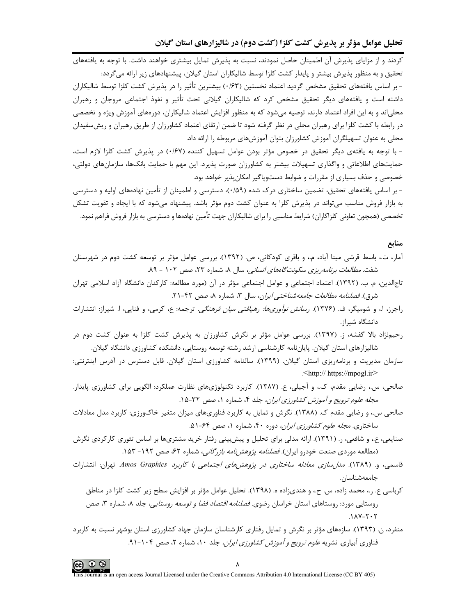کردند و از مزایای پذیرش آن اطمینان حاصل نمودند، نسبت به پذیرش تمایل بیشتری خواهند داشت. با توجه به یافتههای تحقیق و به منظور پذیرش بیشتر و پایدار کشت کلزا توسط شالیکاران استان گیلان، پیشنهادهای زیر ارائه میگردد: - بر اساس یافتههای تحقیق مشخص گردید اعتماد نخستین (۰/۶۳) بیشترین تأثیر را در پذیرش کشت کلزا توسط شالیکاران داشته است و یافتههای دیگر تحقیق مشخص کرد که شالیکاران گیلانی تحت تأثیر و نفوذ اجتماعی مروجان و رهبران محلیاند و به این افراد اعتماد دارند، توصیه میشود که به منظور افزایش اعتماد شالیکاران، دورههای آموزش ویژه و تخصصی در رابطه با کشت کلزا برای رهبران محلی در نظر گرفته شود تا ضمن ارتقای اعتماد کشاورزان از طریق رهبران و ریش سفیدان محلی به عنوان تسهیلگران آموزش کشاورزان بتوان آموزشهای مربوطه را ارائه داد.

- با توجه به یافتهی دیگر تحقیق در خصوص مؤثر بودن عوامل تسهیل کننده (۰/۶۷) در پذیرش کشت کلزا لازم است، حمایتهای اطلاعاتی و واگذاری تسهیلات بیشتر به کشاورزان صورت پذیرد. این مهم با حمایت بانکها، سازمانهای دولتی، خصوصی و حذف بسیاری از مقررات و ضوابط دستوپاگیر امکان پذیر خواهد بود.

- بر اساس یافتههای تحقیق، تضمین ساختاری درک شده (۵۹/۰)، دسترسی و اطمینان از تأمین نهادههای اولیه و دسترسی به بازار فروش مناسب میتواند در پذیرش کلزا به عنوان کشت دوم مؤثر باشد. پیشنهاد میشود که با ایجاد و تقویت تشکل تخصصی (همچون تعاونی کلزاکاران) شرایط مناسبی را برای شالیکاران جهت تأمین نهادهها و دسترسی به بازار فروش فراهم نمود.

## منابع

- آمار، ت.، باسط قرشی مینا آباد، م.، و باقری کودکانی، ص. (۱۳۹۲). بررسی عوامل مؤثر بر توسعه کشت دوم در شهرستان شفت. *مطالعات برنامه ریزی سکونت گاههای انسانی*، سال ۸، شماره ۲۳، صص ۱۰۲ - ۸۹.
- تاجالدین، م. ب. (۱۳۹۲). اعتماد اجتماعی و عوامل اجتماعی مؤثر در آن (مورد مطالعه: کارکنان دانشگاه آزاد اسلامی تهران شرق). فصلنامه مطالعات جامعه شناخته ايران، سال ٣، شماره ٨، صص ۴٢-٢١.
- راجرز، ا.، و شومیگر، ف. (۱۳۷۶). *رسانش نوآوریها: رهیافتی میان فرهنگی.* ترجمه: ع، کرمی، و فنایی، ا. شیراز: انتشارات دانشگاه شیراز.
- رحیمنژاد بالا گفشه، ز. (۱۳۹۷). بررسی عوامل مؤثر بر نگرش کشاورزان به پذیرش کشت کلزا به عنوان کشت دوم در شالیزارهای استان گیلان. پایاننامه کارشناسی ارشد رشته توسعه روستایی، دانشکده کشاورزی دانشگاه گیلان.
- سازمان مدیریت و برنامهریزی استان گیلان. (۱۳۹۹). سالنامه کشاورزی استان گیلان. قابل دسترس در آدرس اینترنتی: <http:// https://mpogl.ir>
- صالحی، س.، رضایی مقدم، ک.، و آجیلی، ع. (۱۳۸۷). کاربرد تکنولوژیهای نظارت عملکرد: الگویی برای کشاورزی پایدار. مجله علوم ترويج و آموزش كشاورزي ايران، جلد ۴، شماره ۱، صص ۳۲-۱۵.
- صالحی س.، و رضایی مقدم ک. (۱۳۸۸). نگرش و تمایل به کاربرد فناوریهای میزان متغیر خاکورزی: کاربرد مدل معادلات ساختاری. *مجله علوم کشاورزی ایران،* دوره ۴۰، شماره ۱، صص ۶۴-۵۱.
- صنایعی، ع.، و شافعی، ر. (۱۳۹۱). ارائه مدلی برای تحلیل و پیش بینی رفتار خرید مشتریها بر اساس تئوری کارکردی نگرش (مطالعه موردی صنعت خودرو ایران). *فصلنامه پژوهشنامه بازرگانی،* شماره ۶۲، صص ۱۹۲- ۱۵۳.
- قاسمی، و. (۱۳۸۹). *مدا<sub>ر</sub>سازی معادله ساختاری در پژوهش های اجتماعی با کاربرد Amos Graphics.* تهران: انتشارات جامعەشناسان.
	- کرباسی ع. ر.، محمد زاده، س. ح.، و هندیزاده ه. (۱۳۹۸). تحلیل عوامل مؤثر بر افزایش سطح زیر کشت کلزا در مناطق روستایی مورد: روستاهای استان خراسان رضوی*. فصلنامه اقتصاد فضا و توسعه روستایی،* جلد ۸، شماره ۳، صص  $.11Y-T-T$
- منفرد، ن. (۱۳۹۳). سازههای مؤثر بر نگرش و تمایل رفتاری کارشناسان سازمان جهاد کشاورزی استان بوشهر نسبت به کاربرد فناوری آبیاری. نشریه *علوم ترویج و آموزش کشاورزی ایران،* جلد ۱۰، شماره ۲، صص ۱۰۴-۹۱.



is Journal is an open access Journal Licensed under the Creative Commons Attribution 4.0 International License (CC BY 405)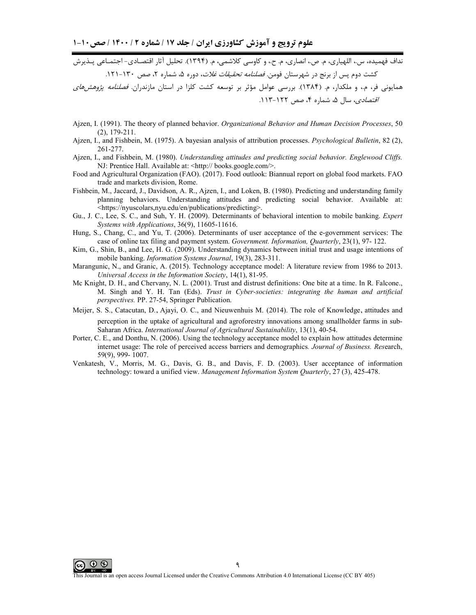.<br>نداف فهمیده، س.، اللهیاری، م. ص.، انصاری، م. ح.، و کاوسی کلاشمی، م. (۱۳۹۴). تحلیل آثار اقتصـادی- اجتمــاعی پــذیرش کشت دوم پس از برنج در شهرستان فومن*. فصلنامه تحقیقات غلات*، دوره ۵، شماره ۲، صص ۱۳۰-۱۲۱. .<br>همایونی فر، م.، و ملکدار، م. (۱۳۸۴). بررسی عوامل مؤثر بر توسعه کشت کلزا در استان مازندران. *فصلنامه پژوهشهای* اقتصادی، سال ۵، شماره ۴، صص ۱۲۲-۱۱۳.

- Ajzen, I. (1991). The theory of planned behavior. Organizational Behavior and Human Decision Processes, 50  $(2), 179-211.$
- Ajzen, I., and Fishbein, M. (1975). A bayesian analysis of attribution processes. Psychological Bulletin, 82 (2), 261-277.
- Ajzen, I., and Fishbein, M. (1980). Understanding attitudes and predicting social behavior. Englewood Cliffs. NJ: Prentice Hall. Available at: <http:// books.google.com/>.
- Food and Agricultural Organization (FAO). (2017). Food outlook: Biannual report on global food markets. FAO trade and markets division, Rome.
- Fishbein, M., Jaccard, J., Davidson, A. R., Ajzen, I., and Loken, B. (1980). Predicting and understanding family planning behaviors. Understanding attitudes and predicting social behavior. Available at: <https://nyuscolars.nyu.edu/en/publications/predicting>.
- Gu., J. C., Lee, S. C., and Suh, Y. H. (2009). Determinants of behavioral intention to mobile banking. Expert Systems with Applications, 36(9), 11605-11616.
- Hung, S., Chang, C., and Yu, T. (2006). Determinants of user acceptance of the e-government services: The case of online tax filing and payment system. Government. Information, Quarterly, 23(1), 97-122.
- Kim, G., Shin, B., and Lee, H. G. (2009). Understanding dynamics between initial trust and usage intentions of mobile banking. *Information Systems Journal*, 19(3), 283-311.
- Marangunic, N., and Granic, A. (2015). Technology acceptance model: A literature review from 1986 to 2013. Universal Access in the Information Society, 14(1), 81-95.
- Mc Knight, D. H., and Chervany, N. L. (2001). Trust and distrust definitions: One bite at a time. In R. Falcone., M. Singh and Y. H. Tan (Eds). Trust in Cyber-societies: integrating the human and artificial perspectives. PP. 27-54, Springer Publication.
- Meijer, S. S., Catacutan, D., Ajayi, O. C., and Nieuwenhuis M. (2014). The role of Knowledge, attitudes and perception in the uptake of agricultural and agroforestry innovations among smallholder farms in sub-Saharan Africa. International Journal of Agricultural Sustainability, 13(1), 40-54.
- Porter, C. E., and Donthu, N. (2006). Using the technology acceptance model to explain how attitudes determine internet usage: The role of perceived access barriers and demographics. Journal of Business. Research, 59(9), 999-1007.
- Venkatesh, V., Morris, M. G., Davis, G. B., and Davis, F. D. (2003). User acceptance of information technology: toward a unified view. Management Information System Quarterly, 27 (3), 425-478.

ന ഭ